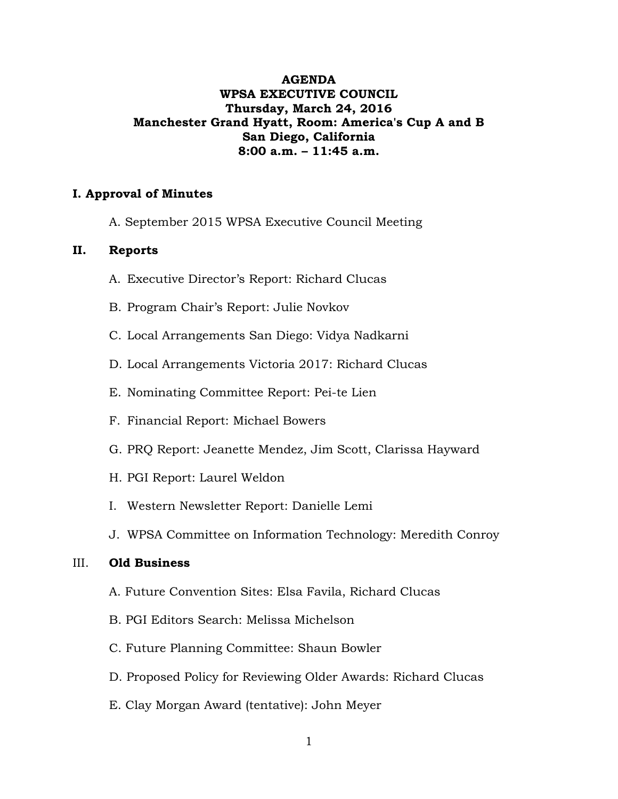# **AGENDA WPSA EXECUTIVE COUNCIL Thursday, March 24, 2016 Manchester Grand Hyatt, Room: America's Cup A and B San Diego, California 8:00 a.m. – 11:45 a.m.**

# **I. Approval of Minutes**

A. September 2015 WPSA Executive Council Meeting

# **II. Reports**

- A. Executive Director's Report: Richard Clucas
- B. Program Chair's Report: Julie Novkov
- C. Local Arrangements San Diego: Vidya Nadkarni
- D. Local Arrangements Victoria 2017: Richard Clucas
- E. Nominating Committee Report: Pei-te Lien
- F. Financial Report: Michael Bowers
- G. PRQ Report: Jeanette Mendez, Jim Scott, Clarissa Hayward
- H. PGI Report: Laurel Weldon
- I. Western Newsletter Report: Danielle Lemi
- J. WPSA Committee on Information Technology: Meredith Conroy

#### III. **Old Business**

- A. Future Convention Sites: Elsa Favila, Richard Clucas
- B. PGI Editors Search: Melissa Michelson
- C. Future Planning Committee: Shaun Bowler
- D. Proposed Policy for Reviewing Older Awards: Richard Clucas
- E. Clay Morgan Award (tentative): John Meyer